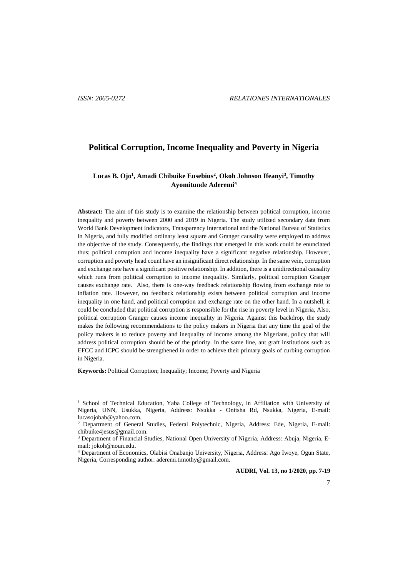l

# **Political Corruption, Income Inequality and Poverty in Nigeria**

### **Lucas B. Ojo<sup>1</sup> , Amadi Chibuike Eusebius<sup>2</sup> , Okoh Johnson Ifeanyi<sup>3</sup> , Timothy Ayomitunde Aderemi<sup>4</sup>**

**Abstract:** The aim of this study is to examine the relationship between political corruption, income inequality and poverty between 2000 and 2019 in Nigeria. The study utilized secondary data from World Bank Development Indicators, Transparency International and the National Bureau of Statistics in Nigeria, and fully modified ordinary least square and Granger causality were employed to address the objective of the study. Consequently, the findings that emerged in this work could be enunciated thus; political corruption and income inequality have a significant negative relationship. However, corruption and poverty head count have an insignificant direct relationship. In the same vein, corruption and exchange rate have a significant positive relationship. In addition, there is a unidirectional causality which runs from political corruption to income inequality. Similarly, political corruption Granger causes exchange rate. Also, there is one-way feedback relationship flowing from exchange rate to inflation rate. However, no feedback relationship exists between political corruption and income inequality in one hand, and political corruption and exchange rate on the other hand. In a nutshell, it could be concluded that political corruption is responsible for the rise in poverty level in Nigeria, Also, political corruption Granger causes income inequality in Nigeria. Against this backdrop, the study makes the following recommendations to the policy makers in Nigeria that any time the goal of the policy makers is to reduce poverty and inequality of income among the Nigerians, policy that will address political corruption should be of the priority. In the same line, ant graft institutions such as EFCC and ICPC should be strengthened in order to achieve their primary goals of curbing corruption in Nigeria.

**Keywords:** Political Corruption; Inequality; Income; Poverty and Nigeria

<sup>&</sup>lt;sup>1</sup> School of Technical Education, Yaba College of Technology, in Affiliation with University of Nigeria, UNN, Usukka, Nigeria, Address: Nsukka - Onitsha Rd, Nsukka, Nigeria, E-mail: lucasojobab@yahoo.com.

<sup>2</sup> Department of General Studies, Federal Polytechnic, Nigeria, Address: Ede, Nigeria, E-mail: chibuike4jesus@gmail.com.

<sup>3</sup> Department of Financial Studies, National Open University of Nigeria, Address: Abuja, Nigeria, Email: jokoh@noun.edu.

<sup>4</sup> Department of Economics, Olabisi Onabanjo University, Nigeria, Address: Ago Iwoye, Ogun State, Nigeria, Corresponding author: aderemi.timothy@gmail.com.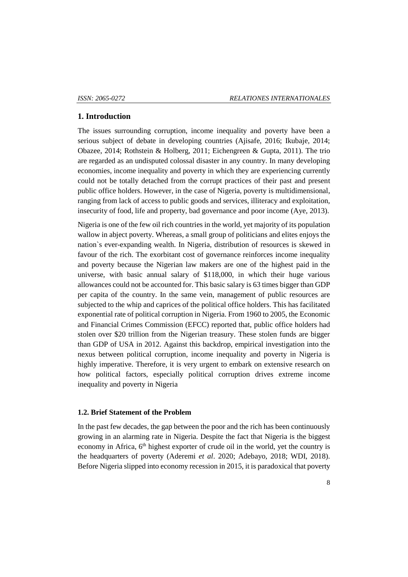### **1. Introduction**

The issues surrounding corruption, income inequality and poverty have been a serious subject of debate in developing countries (Ajisafe, 2016; Ikubaje, 2014; Obazee, 2014; Rothstein & Holberg, 2011; Eichengreen & Gupta, 2011). The trio are regarded as an undisputed colossal disaster in any country. In many developing economies, income inequality and poverty in which they are experiencing currently could not be totally detached from the corrupt practices of their past and present public office holders. However, in the case of Nigeria, poverty is multidimensional, ranging from lack of access to public goods and services, illiteracy and exploitation, insecurity of food, life and property, bad governance and poor income (Aye, 2013).

Nigeria is one of the few oil rich countries in the world, yet majority of its population wallow in abject poverty. Whereas, a small group of politicians and elites enjoys the nation`s ever-expanding wealth. In Nigeria, distribution of resources is skewed in favour of the rich. The exorbitant cost of governance reinforces income inequality and poverty because the Nigerian law makers are one of the highest paid in the universe, with basic annual salary of \$118,000, in which their huge various allowances could not be accounted for. This basic salary is 63 times bigger than GDP per capita of the country. In the same vein, management of public resources are subjected to the whip and caprices of the political office holders. This has facilitated exponential rate of political corruption in Nigeria. From 1960 to 2005, the Economic and Financial Crimes Commission (EFCC) reported that, public office holders had stolen over \$20 trillion from the Nigerian treasury. These stolen funds are bigger than GDP of USA in 2012. Against this backdrop, empirical investigation into the nexus between political corruption, income inequality and poverty in Nigeria is highly imperative. Therefore, it is very urgent to embark on extensive research on how political factors, especially political corruption drives extreme income inequality and poverty in Nigeria

## **1.2. Brief Statement of the Problem**

In the past few decades, the gap between the poor and the rich has been continuously growing in an alarming rate in Nigeria. Despite the fact that Nigeria is the biggest economy in Africa,  $6<sup>th</sup>$  highest exporter of crude oil in the world, yet the country is the headquarters of poverty (Aderemi *et al*. 2020; Adebayo, 2018; WDI, 2018). Before Nigeria slipped into economy recession in 2015, it is paradoxical that poverty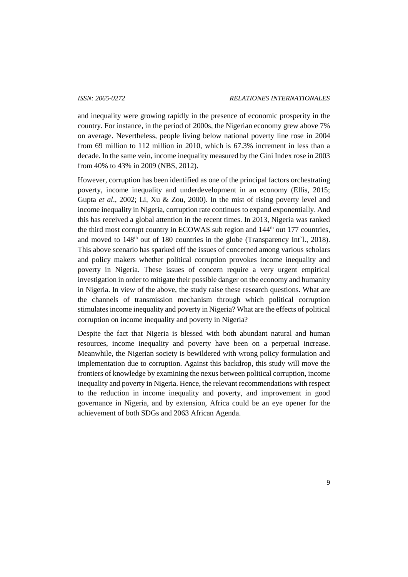and inequality were growing rapidly in the presence of economic prosperity in the country. For instance, in the period of 2000s, the Nigerian economy grew above 7% on average. Nevertheless, people living below national poverty line rose in 2004 from 69 million to 112 million in 2010, which is 67.3% increment in less than a decade. In the same vein, income inequality measured by the Gini Index rose in 2003 from 40% to 43% in 2009 (NBS, 2012).

However, corruption has been identified as one of the principal factors orchestrating poverty, income inequality and underdevelopment in an economy (Ellis, 2015; Gupta *et al*., 2002; Li, Xu & Zou, 2000). In the mist of rising poverty level and income inequality in Nigeria, corruption rate continues to expand exponentially. And this has received a global attention in the recent times. In 2013, Nigeria was ranked the third most corrupt country in ECOWAS sub region and  $144<sup>th</sup>$  out 177 countries, and moved to  $148<sup>th</sup>$  out of 180 countries in the globe (Transparency Int`l., 2018). This above scenario has sparked off the issues of concerned among various scholars and policy makers whether political corruption provokes income inequality and poverty in Nigeria. These issues of concern require a very urgent empirical investigation in order to mitigate their possible danger on the economy and humanity in Nigeria. In view of the above, the study raise these research questions. What are the channels of transmission mechanism through which political corruption stimulates income inequality and poverty in Nigeria? What are the effects of political corruption on income inequality and poverty in Nigeria?

Despite the fact that Nigeria is blessed with both abundant natural and human resources, income inequality and poverty have been on a perpetual increase. Meanwhile, the Nigerian society is bewildered with wrong policy formulation and implementation due to corruption. Against this backdrop, this study will move the frontiers of knowledge by examining the nexus between political corruption, income inequality and poverty in Nigeria. Hence, the relevant recommendations with respect to the reduction in income inequality and poverty, and improvement in good governance in Nigeria, and by extension, Africa could be an eye opener for the achievement of both SDGs and 2063 African Agenda.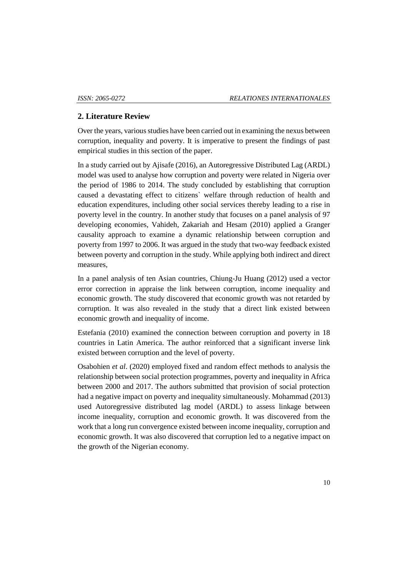## **2. Literature Review**

Over the years, various studies have been carried out in examining the nexus between corruption, inequality and poverty. It is imperative to present the findings of past empirical studies in this section of the paper.

In a study carried out by Ajisafe (2016), an Autoregressive Distributed Lag (ARDL) model was used to analyse how corruption and poverty were related in Nigeria over the period of 1986 to 2014. The study concluded by establishing that corruption caused a devastating effect to citizens` welfare through reduction of health and education expenditures, including other social services thereby leading to a rise in poverty level in the country. In another study that focuses on a panel analysis of 97 developing economies, Vahideh, Zakariah and Hesam (2010) applied a Granger causality approach to examine a dynamic relationship between corruption and poverty from 1997 to 2006. It was argued in the study that two-way feedback existed between poverty and corruption in the study. While applying both indirect and direct measures,

In a panel analysis of ten Asian countries, Chiung-Ju Huang (2012) used a vector error correction in appraise the link between corruption, income inequality and economic growth. The study discovered that economic growth was not retarded by corruption. It was also revealed in the study that a direct link existed between economic growth and inequality of income.

Estefania (2010) examined the connection between corruption and poverty in 18 countries in Latin America. The author reinforced that a significant inverse link existed between corruption and the level of poverty.

Osabohien *et al*. (2020) employed fixed and random effect methods to analysis the relationship between social protection programmes, poverty and inequality in Africa between 2000 and 2017. The authors submitted that provision of social protection had a negative impact on poverty and inequality simultaneously. Mohammad (2013) used Autoregressive distributed lag model (ARDL) to assess linkage between income inequality, corruption and economic growth. It was discovered from the work that a long run convergence existed between income inequality, corruption and economic growth. It was also discovered that corruption led to a negative impact on the growth of the Nigerian economy.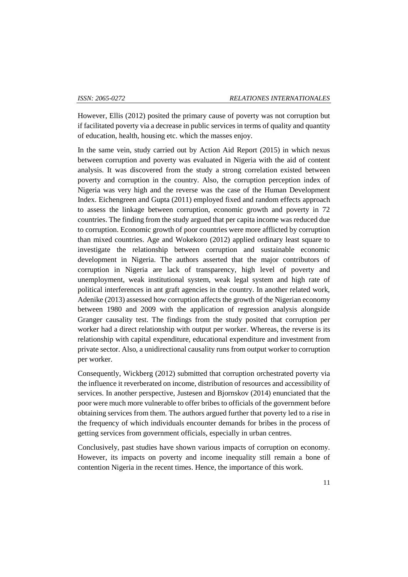However, Ellis (2012) posited the primary cause of poverty was not corruption but if facilitated poverty via a decrease in public services in terms of quality and quantity of education, health, housing etc. which the masses enjoy.

In the same vein, study carried out by Action Aid Report (2015) in which nexus between corruption and poverty was evaluated in Nigeria with the aid of content analysis. It was discovered from the study a strong correlation existed between poverty and corruption in the country. Also, the corruption perception index of Nigeria was very high and the reverse was the case of the Human Development Index. Eichengreen and Gupta (2011) employed fixed and random effects approach to assess the linkage between corruption, economic growth and poverty in 72 countries. The finding from the study argued that per capita income was reduced due to corruption. Economic growth of poor countries were more afflicted by corruption than mixed countries. Age and Wokekoro (2012) applied ordinary least square to investigate the relationship between corruption and sustainable economic development in Nigeria. The authors asserted that the major contributors of corruption in Nigeria are lack of transparency, high level of poverty and unemployment, weak institutional system, weak legal system and high rate of political interferences in ant graft agencies in the country. In another related work, Adenike (2013) assessed how corruption affects the growth of the Nigerian economy between 1980 and 2009 with the application of regression analysis alongside Granger causality test. The findings from the study posited that corruption per worker had a direct relationship with output per worker. Whereas, the reverse is its relationship with capital expenditure, educational expenditure and investment from private sector. Also, a unidirectional causality runs from output worker to corruption per worker.

Consequently, Wickberg (2012) submitted that corruption orchestrated poverty via the influence it reverberated on income, distribution of resources and accessibility of services. In another perspective, Justesen and Bjornskov (2014) enunciated that the poor were much more vulnerable to offer bribes to officials of the government before obtaining services from them. The authors argued further that poverty led to a rise in the frequency of which individuals encounter demands for bribes in the process of getting services from government officials, especially in urban centres.

Conclusively, past studies have shown various impacts of corruption on economy. However, its impacts on poverty and income inequality still remain a bone of contention Nigeria in the recent times. Hence, the importance of this work.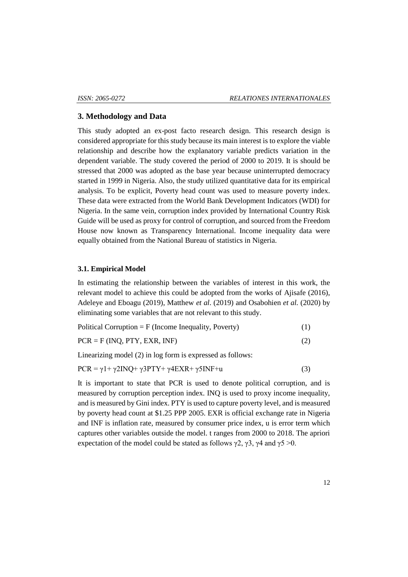### **3. Methodology and Data**

This study adopted an ex-post facto research design. This research design is considered appropriate for this study because its main interest is to explore the viable relationship and describe how the explanatory variable predicts variation in the dependent variable. The study covered the period of 2000 to 2019. It is should be stressed that 2000 was adopted as the base year because uninterrupted democracy started in 1999 in Nigeria. Also, the study utilized quantitative data for its empirical analysis. To be explicit, Poverty head count was used to measure poverty index. These data were extracted from the World Bank Development Indicators (WDI) for Nigeria. In the same vein, corruption index provided by International Country Risk Guide will be used as proxy for control of corruption, and sourced from the Freedom House now known as Transparency International. Income inequality data were equally obtained from the National Bureau of statistics in Nigeria.

### **3.1. Empirical Model**

In estimating the relationship between the variables of interest in this work, the relevant model to achieve this could be adopted from the works of Ajisafe (2016), Adeleye and Eboagu (2019), Matthew *et al*. (2019) and Osabohien *et al.* (2020) by eliminating some variables that are not relevant to this study.

 $PCR = F (INQ, PTY, EXR, INF)$  (2)

Linearizing model (2) in log form is expressed as follows:

$$
PCR = \gamma 1 + \gamma 2INQ + \gamma 3PTY + \gamma 4EXR + \gamma 5INF + u \tag{3}
$$

It is important to state that PCR is used to denote political corruption, and is measured by corruption perception index. INQ is used to proxy income inequality, and is measured by Gini index. PTY is used to capture poverty level, and is measured by poverty head count at \$1.25 PPP 2005. EXR is official exchange rate in Nigeria and INF is inflation rate, measured by consumer price index, u is error term which captures other variables outside the model. t ranges from 2000 to 2018. The apriori expectation of the model could be stated as follows  $\gamma$ 2,  $\gamma$ 3,  $\gamma$ 4 and  $\gamma$ 5 >0.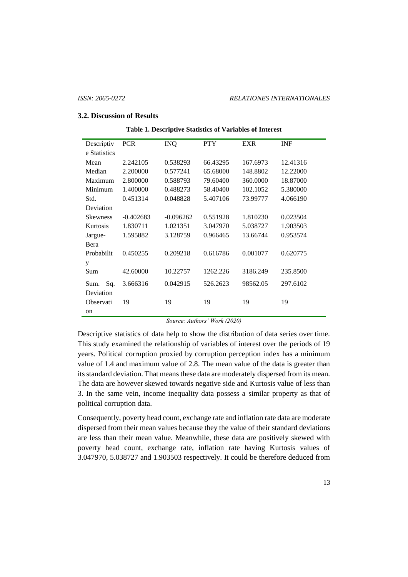## **3.2. Discussion of Results**

| Descriptiv      | <b>PCR</b>  | <b>INQ</b>  | PTY      | <b>EXR</b> | <b>INF</b> |
|-----------------|-------------|-------------|----------|------------|------------|
| e Statistics    |             |             |          |            |            |
| Mean            | 2.242105    | 0.538293    | 66.43295 | 167.6973   | 12.41316   |
| Median          | 2.200000    | 0.577241    | 65.68000 | 148.8802   | 12.22000   |
| Maximum         | 2.800000    | 0.588793    | 79.60400 | 360,0000   | 18.87000   |
| Minimum         | 1.400000    | 0.488273    | 58.40400 | 102.1052   | 5.380000   |
| Std.            | 0.451314    | 0.048828    | 5.407106 | 73.99777   | 4.066190   |
| Deviation       |             |             |          |            |            |
| <b>Skewness</b> | $-0.402683$ | $-0.096262$ | 0.551928 | 1.810230   | 0.023504   |
| Kurtosis        | 1.830711    | 1.021351    | 3.047970 | 5.038727   | 1.903503   |
| Jargue-         | 1.595882    | 3.128759    | 0.966465 | 13.66744   | 0.953574   |
| Bera            |             |             |          |            |            |
| Probabilit      | 0.450255    | 0.209218    | 0.616786 | 0.001077   | 0.620775   |
| у               |             |             |          |            |            |
| Sum             | 42.60000    | 10.22757    | 1262.226 | 3186.249   | 235.8500   |
| Sq.<br>Sum.     | 3.666316    | 0.042915    | 526.2623 | 98562.05   | 297.6102   |
| Deviation       |             |             |          |            |            |
| Observati       | 19          | 19          | 19       | 19         | 19         |
| on              |             |             |          |            |            |

#### **Table 1. Descriptive Statistics of Variables of Interest**

*Source: Authors' Work (2020)*

Descriptive statistics of data help to show the distribution of data series over time. This study examined the relationship of variables of interest over the periods of 19 years. Political corruption proxied by corruption perception index has a minimum value of 1.4 and maximum value of 2.8. The mean value of the data is greater than its standard deviation. That means these data are moderately dispersed from its mean. The data are however skewed towards negative side and Kurtosis value of less than 3. In the same vein, income inequality data possess a similar property as that of political corruption data.

Consequently, poverty head count, exchange rate and inflation rate data are moderate dispersed from their mean values because they the value of their standard deviations are less than their mean value. Meanwhile, these data are positively skewed with poverty head count, exchange rate, inflation rate having Kurtosis values of 3.047970, 5.038727 and 1.903503 respectively. It could be therefore deduced from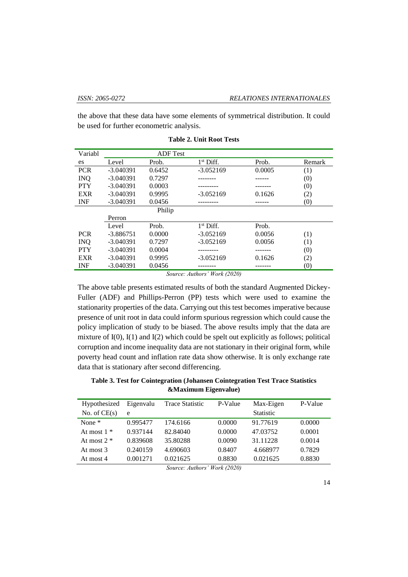the above that these data have some elements of symmetrical distribution. It could be used for further econometric analysis.

| Variabl    |             | <b>ADF</b> Test |                       |        |        |
|------------|-------------|-----------------|-----------------------|--------|--------|
| es         | Level       | Prob.           | 1 <sup>st</sup> Diff. | Prob.  | Remark |
| <b>PCR</b> | $-3.040391$ | 0.6452          | $-3.052169$           | 0.0005 | (1)    |
| <b>INQ</b> | $-3.040391$ | 0.7297          |                       |        | (0)    |
| <b>PTY</b> | $-3.040391$ | 0.0003          |                       |        | (0)    |
| <b>EXR</b> | $-3.040391$ | 0.9995          | $-3.052169$           | 0.1626 | (2)    |
| <b>INF</b> | $-3.040391$ | 0.0456          |                       |        | (0)    |
|            |             | Philip          |                       |        |        |
|            | Perron      |                 |                       |        |        |
|            | Level       | Prob.           | $1st$ Diff.           | Prob.  |        |
| <b>PCR</b> | $-3.886751$ | 0.0000          | $-3.052169$           | 0.0056 | (1)    |
| <b>INQ</b> | $-3.040391$ | 0.7297          | $-3.052169$           | 0.0056 | (1)    |
| <b>PTY</b> | $-3.040391$ | 0.0004          | .                     |        | (0)    |
| <b>EXR</b> | $-3.040391$ | 0.9995          | $-3.052169$           | 0.1626 | (2)    |
| <b>INF</b> | $-3.040391$ | 0.0456          |                       |        | (0)    |

**Table 2. Unit Root Tests**

*Source: Authors' Work (2020)*

The above table presents estimated results of both the standard Augmented Dickey-Fuller (ADF) and Phillips-Perron (PP) tests which were used to examine the stationarity properties of the data. Carrying out this test becomes imperative because presence of unit root in data could inform spurious regression which could cause the policy implication of study to be biased. The above results imply that the data are mixture of I(0), I(1) and I(2) which could be spelt out explicitly as follows; political corruption and income inequality data are not stationary in their original form, while poverty head count and inflation rate data show otherwise. It is only exchange rate data that is stationary after second differencing.

**Table 3. Test for Cointegration (Johansen Cointegration Test Trace Statistics &Maximum Eigenvalue)**

| Hypothesized   | Eigenvalu | Trace Statistic           | P-Value           | Max-Eigen        | P-Value |
|----------------|-----------|---------------------------|-------------------|------------------|---------|
| No. of $CE(s)$ | e         |                           |                   | <b>Statistic</b> |         |
| None $*$       | 0.995477  | 174.6166                  | 0.0000            | 91.77619         | 0.0000  |
| At most $1 *$  | 0.937144  | 82.84040                  | 0.0000            | 47.03752         | 0.0001  |
| At most $2 *$  | 0.839608  | 35.80288                  | 0.0090            | 31.11228         | 0.0014  |
| At most 3      | 0.240159  | 4.690603                  | 0.8407            | 4.668977         | 0.7829  |
| At most 4      | 0.001271  | 0.021625                  | 0.8830            | 0.021625         | 0.8830  |
|                |           | $\cdots$<br>$\sim$ $\sim$ | $1.777$ $1.79090$ |                  |         |

*Source: Authors' Work (2020)*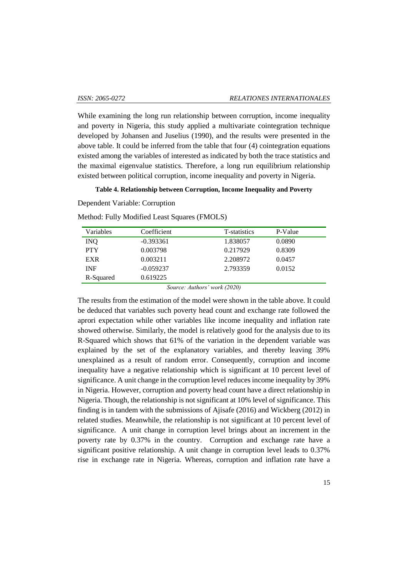While examining the long run relationship between corruption, income inequality and poverty in Nigeria, this study applied a multivariate cointegration technique developed by Johansen and Juselius (1990), and the results were presented in the above table. It could be inferred from the table that four (4) cointegration equations existed among the variables of interested as indicated by both the trace statistics and the maximal eigenvalue statistics. Therefore, a long run equilibrium relationship existed between political corruption, income inequality and poverty in Nigeria.

#### **Table 4. Relationship between Corruption, Income Inequality and Poverty**

Dependent Variable: Corruption

Method: Fully Modified Least Squares (FMOLS)

| Variables  | Coefficient | T-statistics | P-Value |
|------------|-------------|--------------|---------|
| <b>INO</b> | $-0.393361$ | 1.838057     | 0.0890  |
| <b>PTY</b> | 0.003798    | 0.217929     | 0.8309  |
| <b>EXR</b> | 0.003211    | 2.208972     | 0.0457  |
| <b>INF</b> | $-0.059237$ | 2.793359     | 0.0152  |
| R-Squared  | 0.619225    |              |         |
|            |             | .            |         |

*Source: Authors' work (2020)*

The results from the estimation of the model were shown in the table above. It could be deduced that variables such poverty head count and exchange rate followed the aprori expectation while other variables like income inequality and inflation rate showed otherwise. Similarly, the model is relatively good for the analysis due to its R-Squared which shows that 61% of the variation in the dependent variable was explained by the set of the explanatory variables, and thereby leaving 39% unexplained as a result of random error. Consequently, corruption and income inequality have a negative relationship which is significant at 10 percent level of significance. A unit change in the corruption level reduces income inequality by 39% in Nigeria. However, corruption and poverty head count have a direct relationship in Nigeria. Though, the relationship is not significant at 10% level of significance. This finding is in tandem with the submissions of Ajisafe (2016) and Wickberg (2012) in related studies. Meanwhile, the relationship is not significant at 10 percent level of significance. A unit change in corruption level brings about an increment in the poverty rate by 0.37% in the country. Corruption and exchange rate have a significant positive relationship. A unit change in corruption level leads to 0.37% rise in exchange rate in Nigeria. Whereas, corruption and inflation rate have a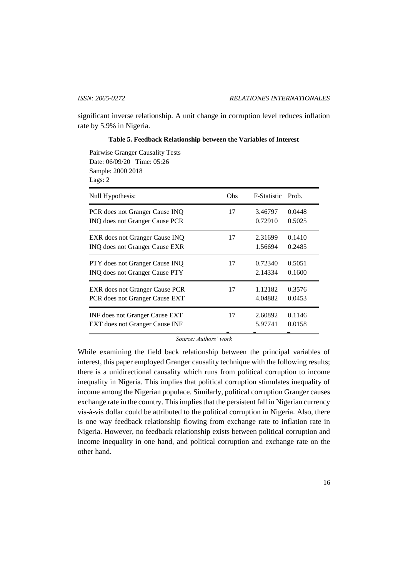significant inverse relationship. A unit change in corruption level reduces inflation rate by 5.9% in Nigeria.

| Pairwise Granger Causality Tests<br>Date: 06/09/20 Time: 05:26<br>Sample: 2000 2018<br>Lags: 2 |     |                    |        |
|------------------------------------------------------------------------------------------------|-----|--------------------|--------|
| Null Hypothesis:                                                                               | Obs | <b>F-Statistic</b> | Prob.  |
| PCR does not Granger Cause INQ                                                                 | 17  | 3.46797            | 0.0448 |
| INQ does not Granger Cause PCR                                                                 |     | 0.72910            | 0.5025 |
| EXR does not Granger Cause INQ                                                                 | 17  | 2.31699            | 0.1410 |
| <b>INQ does not Granger Cause EXR</b>                                                          |     | 1.56694            | 0.2485 |
| PTY does not Granger Cause INQ                                                                 | 17  | 0.72340            | 0.5051 |
| INQ does not Granger Cause PTY                                                                 |     | 2.14334            | 0.1600 |
| EXR does not Granger Cause PCR                                                                 | 17  | 1.12182            | 0.3576 |
| PCR does not Granger Cause EXT                                                                 |     | 4.04882            | 0.0453 |
| <b>INF</b> does not Granger Cause EXT                                                          | 17  | 2.60892            | 0.1146 |
| <b>EXT</b> does not Granger Cause INF                                                          |     | 5.97741            | 0.0158 |

**Table 5. Feedback Relationship between the Variables of Interest**

*Source: Authors' work*

While examining the field back relationship between the principal variables of interest, this paper employed Granger causality technique with the following results; there is a unidirectional causality which runs from political corruption to income inequality in Nigeria. This implies that political corruption stimulates inequality of income among the Nigerian populace. Similarly, political corruption Granger causes exchange rate in the country. This implies that the persistent fall in Nigerian currency vis-à-vis dollar could be attributed to the political corruption in Nigeria. Also, there is one way feedback relationship flowing from exchange rate to inflation rate in Nigeria. However, no feedback relationship exists between political corruption and income inequality in one hand, and political corruption and exchange rate on the other hand.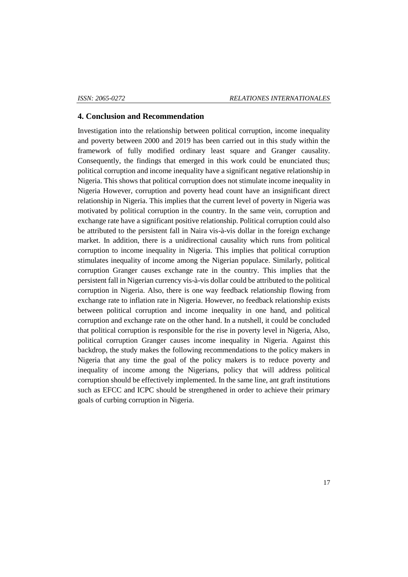## **4. Conclusion and Recommendation**

Investigation into the relationship between political corruption, income inequality and poverty between 2000 and 2019 has been carried out in this study within the framework of fully modified ordinary least square and Granger causality. Consequently, the findings that emerged in this work could be enunciated thus; political corruption and income inequality have a significant negative relationship in Nigeria. This shows that political corruption does not stimulate income inequality in Nigeria However, corruption and poverty head count have an insignificant direct relationship in Nigeria. This implies that the current level of poverty in Nigeria was motivated by political corruption in the country. In the same vein, corruption and exchange rate have a significant positive relationship. Political corruption could also be attributed to the persistent fall in Naira vis-à-vis dollar in the foreign exchange market. In addition, there is a unidirectional causality which runs from political corruption to income inequality in Nigeria. This implies that political corruption stimulates inequality of income among the Nigerian populace. Similarly, political corruption Granger causes exchange rate in the country. This implies that the persistent fall in Nigerian currency vis-à-vis dollar could be attributed to the political corruption in Nigeria. Also, there is one way feedback relationship flowing from exchange rate to inflation rate in Nigeria. However, no feedback relationship exists between political corruption and income inequality in one hand, and political corruption and exchange rate on the other hand. In a nutshell, it could be concluded that political corruption is responsible for the rise in poverty level in Nigeria, Also, political corruption Granger causes income inequality in Nigeria. Against this backdrop, the study makes the following recommendations to the policy makers in Nigeria that any time the goal of the policy makers is to reduce poverty and inequality of income among the Nigerians, policy that will address political corruption should be effectively implemented. In the same line, ant graft institutions such as EFCC and ICPC should be strengthened in order to achieve their primary goals of curbing corruption in Nigeria.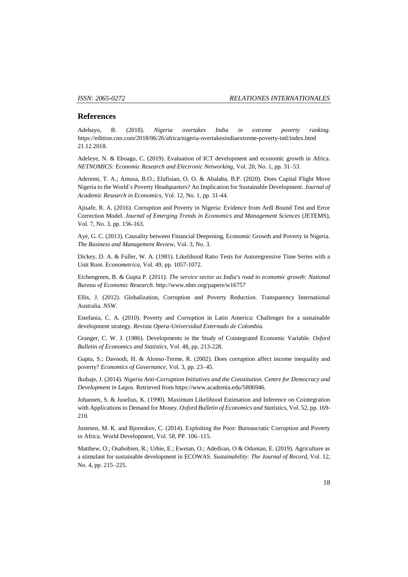#### **References**

Adebayo, B. (2018). *Nigeria overtakes India in extreme poverty ranking*. https://edition.cnn.com/2018/06/26/africa/nigeria-overtakesindiaextreme-poverty-intl/index.html 21.12.2018.

Adeleye, N. & Eboagu, C. (2019). Evaluation of ICT development and economic growth in Africa. *NETNOMICS: Economic Research and Electronic Networking*, Vol. 20, No. 1, pp. 31–53.

Aderemi, T. A.; Amusa, B.O.; Elufisian, O. O. & Abalaba, B.P. (2020). Does Capital Flight Move Nigeria to the World`s Poverty Headquarters? An Implication for Sustainable Development. *Journal of Academic Research in Economics*, Vol. 12, No. 1, pp. 31-44.

Ajisafe, R. A. (2016). Corruption and Poverty in Nigeria: Evidence from Ardl Bound Test and Error Correction Model. *Journal of Emerging Trends in Economics and Management Sciences* (JETEMS), Vol. 7, No. 3, pp. 156-163.

Aye, G. C. (2013). Causality between Financial Deepening, Economic Growth and Poverty in Nigeria. *The Business and Management Review*, Vol. 3, No. 3.

Dickey, D. A. & Fuller, W. A. (1981). Likelihood Ratio Tests for Autoregressive Time Series with a Unit Root. *Econometrica,* Vol. 49, pp. 1057-1072.

Eichengreen, B. & Gupta P. (2011). *The service sector as India's road to economic growth: National Bureau of Economic Research*. http://www.nber.org/papers/w16757

Ellis, J. (2012). Globalization, Corruption and Poverty Reduction. Transparency International Australia. *NSW*.

Estefania, C. A. (2010). Poverty and Corruption in Latin America: Challenges for a sustainable development strategy. *Revista Opera-Universidad Externado de Colombia.*

Granger, C. W. J. (1986). Developments in the Study of Cointegrated Economic Variable. *Oxford Bulletin of Economics and Statistics,* Vol. 48, pp. 213-228.

Gupta, S.; Davoodi, H. & Alonso-Terme, R. (2002). Does corruption affect income inequality and poverty? *Economics of Governance*, Vol. 3, pp. 23–45.

Ikubaje, J. (2014). *Nigeria Anti-Corruption Initiatives and the Constitution. Centre for Democracy and Development in Lagos*. Retrieved from https://www.academia.edu/5806946.

Johansen, S. & Juselius, K. (1990). Maximum Likelihood Estimation and Inference on Cointegration with Applications to Demand for Money. *Oxford Bulletin of Economics and Statistics,* Vol. 52, pp. 169- 210.

Justesen, M. K. and Bjornskov, C. (2014). Exploiting the Poor: Bureaucratic Corruption and Poverty in Africa. World Development, Vol. 58, PP. 106–115.

Matthew, O.; Osabohien, R.; Urhie, E.; Ewetan, O.; Adediran, O & Oduntan, E. (2019). Agriculture as a stimulant for sustainable development in ECOWAS. *Sustainability: The Journal of Record*, Vol. 12, No. 4, pp. 215–225.